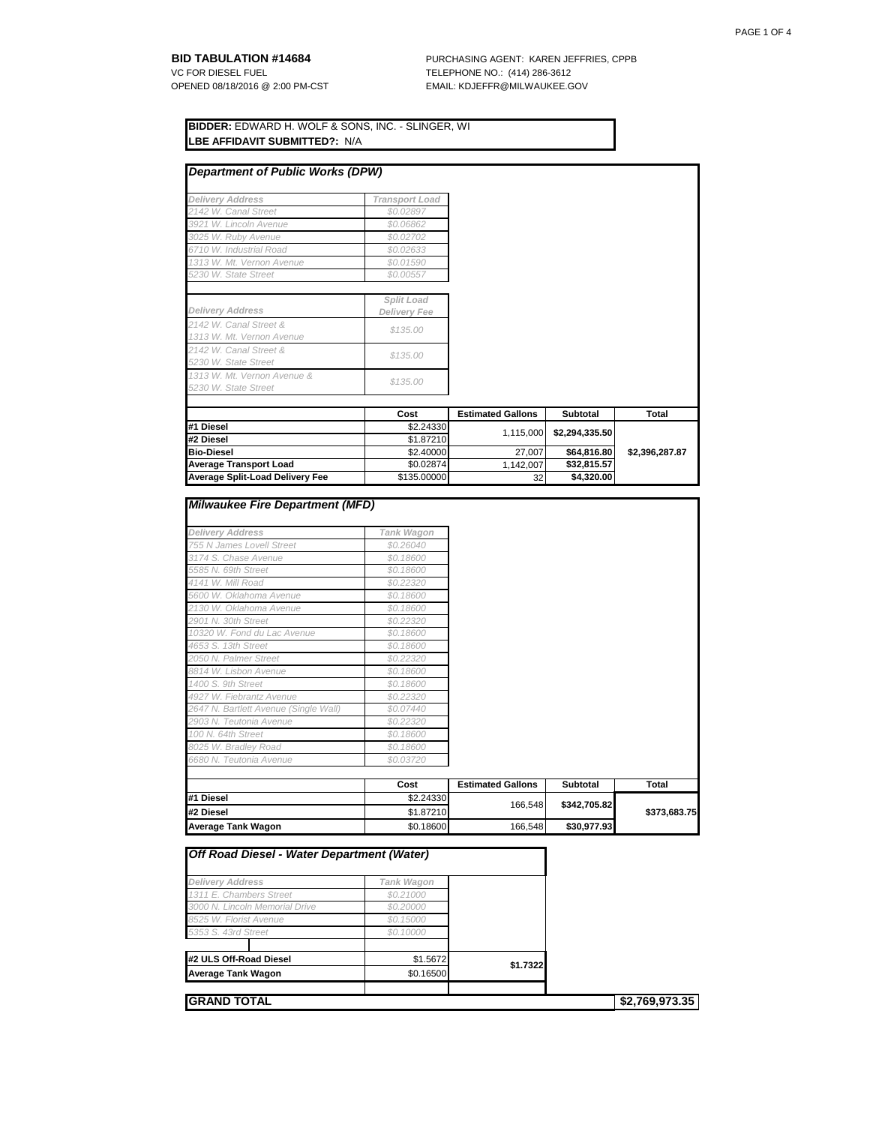**BID TABULATION #14684** PURCHASING AGENT: KAREN JEFFRIES, CPPB VC FOR DIESEL FUEL <br>OPENED 08/18/2016 @ 2:00 PM-CST FOR THE EMAIL: KDJEFFR@MILWAUKEE.G EMAIL: KDJEFFR@MILWAUKEE.GOV

| <b>BIDDER: EDWARD H. WOLF &amp; SONS, INC. - SLINGER, WI</b><br><b>ILBE AFFIDAVIT SUBMITTED?: N/A</b> |                       |  |  |
|-------------------------------------------------------------------------------------------------------|-----------------------|--|--|
| Department of Public Works (DPW)                                                                      |                       |  |  |
| <b>Delivery Address</b>                                                                               | <b>Transport Load</b> |  |  |
| 2142 W. Canal Street                                                                                  | \$0.02897             |  |  |
| 3921 W. Lincoln Avenue                                                                                | \$0.06862             |  |  |
| 3025 W. Ruby Avenue                                                                                   | \$0.02702             |  |  |
| 6710 W. Industrial Road                                                                               | \$0.02633             |  |  |
| 1313 W. Mt. Vernon Avenue                                                                             | \$0.01590             |  |  |
| 5230 W. State Street                                                                                  | \$0.00557             |  |  |

| <b>Delivery Address</b>                             | Split Load<br><b>Delivery Fee</b> |                          |                |                |
|-----------------------------------------------------|-----------------------------------|--------------------------|----------------|----------------|
|                                                     |                                   |                          |                |                |
| 2142 W. Canal Street &<br>1313 W. Mt. Vernon Avenue | \$135.00                          |                          |                |                |
| 2142 W. Canal Street &<br>5230 W. State Street      | \$135.00                          |                          |                |                |
| 1313 W. Mt. Vernon Avenue &<br>5230 W. State Street | \$135.00                          |                          |                |                |
|                                                     |                                   |                          |                |                |
|                                                     | Cost                              | <b>Estimated Gallons</b> | Subtotal       | <b>Total</b>   |
| #1 Diesel                                           | \$2.24330                         | 1,115,000                | \$2,294,335.50 |                |
| #2 Diesel                                           | \$1,87210                         |                          |                |                |
| <b>Bio-Diesel</b>                                   | \$2.40000                         | 27,007                   | \$64,816.80    | \$2,396,287.87 |
| <b>Average Transport Load</b>                       | \$0.02874                         | 1,142,007                | \$32,815.57    |                |
| <b>Average Split-Load Delivery Fee</b>              | \$135,00000                       | 32                       | \$4,320.00     |                |

| <b>Milwaukee Fire Department (MFD)</b> |  |
|----------------------------------------|--|
|----------------------------------------|--|

| <b>Delivery Address</b>               | Tank Wagon |                          |                 |              |
|---------------------------------------|------------|--------------------------|-----------------|--------------|
| 755 N James Lovell Street             | \$0.26040  |                          |                 |              |
| 3174 S. Chase Avenue                  | \$0.18600  |                          |                 |              |
| 5585 N. 69th Street                   | \$0.18600  |                          |                 |              |
| 4141 W. Mill Road                     | \$0.22320  |                          |                 |              |
| 5600 W. Oklahoma Avenue               | \$0.18600  |                          |                 |              |
| 2130 W. Oklahoma Avenue               | \$0,18600  |                          |                 |              |
| 2901 N. 30th Street                   | \$0.22320  |                          |                 |              |
| 10320 W. Fond du Lac Avenue           | \$0.18600  |                          |                 |              |
| 4653 S. 13th Street                   | \$0.18600  |                          |                 |              |
| 2050 N. Palmer Street                 | \$0.22320  |                          |                 |              |
| 8814 W. Lisbon Avenue                 | \$0.18600  |                          |                 |              |
| 1400 S. 9th Street                    | \$0.18600  |                          |                 |              |
| 4927 W. Fiebrantz Avenue              | \$0.22320  |                          |                 |              |
| 2647 N. Bartlett Avenue (Single Wall) | \$0.07440  |                          |                 |              |
| 2903 N. Teutonia Avenue               | \$0,22320  |                          |                 |              |
| 100 N. 64th Street                    | \$0.18600  |                          |                 |              |
| 8025 W. Bradley Road                  | \$0.18600  |                          |                 |              |
| 6680 N. Teutonia Avenue               | \$0.03720  |                          |                 |              |
|                                       |            |                          |                 |              |
|                                       | Cost       | <b>Estimated Gallons</b> | <b>Subtotal</b> | Total        |
| #1 Diesel                             | \$2.24330  |                          |                 |              |
| #2 Diesel                             | \$1.87210  | 166,548                  | \$342,705.82    | \$373,683.75 |
| <b>Average Tank Wagon</b>             | \$0.18600  | 166,548                  | \$30,977.93     |              |

| <b>Off Road Diesel - Water Department (Water)</b> |            |          |                |
|---------------------------------------------------|------------|----------|----------------|
|                                                   |            |          |                |
| <b>Delivery Address</b>                           | Tank Wagon |          |                |
| 1311 E. Chambers Street                           | \$0.21000  |          |                |
| 3000 N. Lincoln Memorial Drive                    | \$0,20000  |          |                |
| 8525 W. Florist Avenue                            | \$0.15000  |          |                |
| 5353 S. 43rd Street                               | \$0.10000  |          |                |
| #2 ULS Off-Road Diesel                            | \$1.5672   |          |                |
| <b>Average Tank Wagon</b>                         | \$0.16500  | \$1.7322 |                |
|                                                   |            |          |                |
| <b>GRAND TOTAL</b>                                |            |          | \$2,769,973.35 |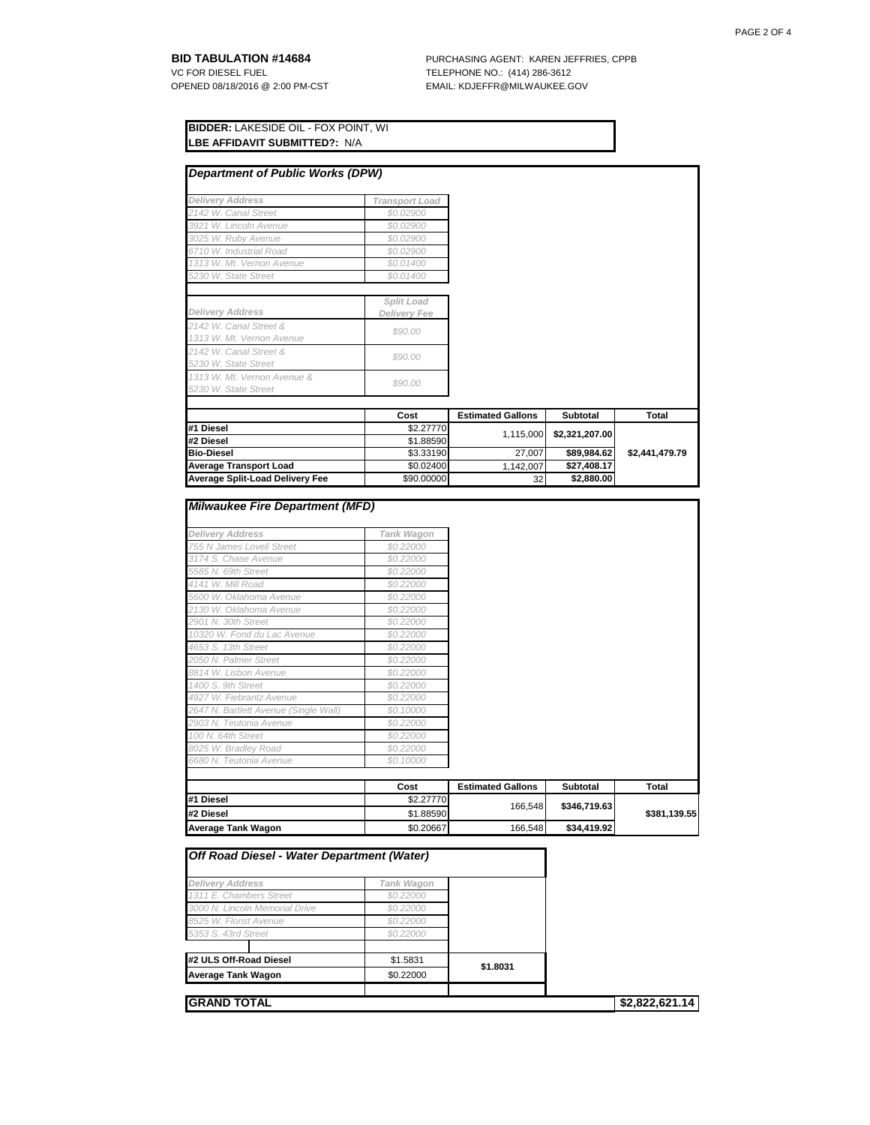**BID TABULATION #14684** PURCHASING AGENT: KAREN JEFFRIES, CPPB VC FOR DIESEL FUEL **FURLEY PURCHASING AGENT:** KAREN JEFFRIES, CPPB VC FOR DIESEL FUEL <br>OPENED 08/18/2016 @ 2:00 PM-CST FOR THE EMAIL: KDJEFFR@MILWAUKEE.G EMAIL: KDJEFFR@MILWAUKEE.GOV

| <b>IBIDDER:</b> LAKESIDE OIL - FOX POINT. WI |  |
|----------------------------------------------|--|
| <b>ILBE AFFIDAVIT SUBMITTED?:</b> N/A        |  |

| <b>Department of Public Works (DPW)</b>             |                                   |                          |                 |                |
|-----------------------------------------------------|-----------------------------------|--------------------------|-----------------|----------------|
| <b>Delivery Address</b>                             | <b>Transport Load</b>             |                          |                 |                |
| 2142 W. Canal Street                                | \$0.02900                         |                          |                 |                |
| 3921 W. Lincoln Avenue                              | \$0.02900                         |                          |                 |                |
| 3025 W. Ruby Avenue                                 | \$0.02900                         |                          |                 |                |
| 6710 W. Industrial Road                             | \$0.02900                         |                          |                 |                |
| 1313 W. Mt. Vernon Avenue                           | \$0.01400                         |                          |                 |                |
| 5230 W. State Street                                | \$0.01400                         |                          |                 |                |
|                                                     |                                   |                          |                 |                |
| <b>Delivery Address</b>                             | Split Load<br><b>Delivery Fee</b> |                          |                 |                |
| 2142 W. Canal Street &<br>1313 W. Mt. Vernon Avenue | \$90.00                           |                          |                 |                |
| 2142 W. Canal Street &<br>5230 W. State Street      | \$90.00                           |                          |                 |                |
| 1313 W. Mt. Vernon Avenue &<br>5230 W. State Street | \$90.00                           |                          |                 |                |
|                                                     | Cost                              | <b>Estimated Gallons</b> | <b>Subtotal</b> | Total          |
| #1 Diesel                                           | \$2.27770                         |                          |                 |                |
| #2 Diesel                                           | \$1.88590                         | 1,115,000                | \$2,321,207.00  |                |
| <b>Bio-Diesel</b>                                   | \$3.33190                         | 27,007                   | \$89,984.62     | \$2,441,479.79 |
| <b>Average Transport Load</b>                       | \$0.02400                         | 1,142,007                | \$27,408.17     |                |
| <b>Average Split-Load Delivery Fee</b>              | \$90.00000                        | 32                       | \$2,880.00      |                |

| <b>Milwaukee Fire Department (MFD)</b> |            |                          |                 |              |
|----------------------------------------|------------|--------------------------|-----------------|--------------|
| <b>Delivery Address</b>                | Tank Wagon |                          |                 |              |
| 755 N James Lovell Street              | \$0.22000  |                          |                 |              |
| 3174 S. Chase Avenue                   | \$0.22000  |                          |                 |              |
| 5585 N. 69th Street                    | \$0.22000  |                          |                 |              |
| 4141 W. Mill Road                      | \$0.22000  |                          |                 |              |
| 5600 W. Oklahoma Avenue                | \$0.22000  |                          |                 |              |
| 2130 W. Oklahoma Avenue                | \$0.22000  |                          |                 |              |
| 2901 N. 30th Street                    | \$0.22000  |                          |                 |              |
| 10320 W. Fond du Lac Avenue            | \$0.22000  |                          |                 |              |
| 4653 S. 13th Street                    | \$0.22000  |                          |                 |              |
| 2050 N. Palmer Street                  | \$0.22000  |                          |                 |              |
| 8814 W. Lisbon Avenue                  | \$0.22000  |                          |                 |              |
| 1400 S. 9th Street                     | \$0.22000  |                          |                 |              |
| 4927 W. Fiebrantz Avenue               | \$0.22000  |                          |                 |              |
| 2647 N. Bartlett Avenue (Single Wall)  | \$0.10000  |                          |                 |              |
| 2903 N. Teutonia Avenue                | \$0.22000  |                          |                 |              |
| 100 N. 64th Street                     | \$0.22000  |                          |                 |              |
| 8025 W. Bradley Road                   | \$0.22000  |                          |                 |              |
| 6680 N. Teutonia Avenue                | \$0.10000  |                          |                 |              |
|                                        | Cost       | <b>Estimated Gallons</b> | <b>Subtotal</b> | Total        |
| #1 Diesel                              | \$2,27770  |                          |                 |              |
| #2 Diesel                              | \$1.88590  | 166,548                  | \$346,719.63    | \$381,139.55 |
| <b>Average Tank Wagon</b>              | \$0.20667  | 166,548                  | \$34,419.92     |              |

| Off Road Diesel - Water Department (Water) |            |          |                |
|--------------------------------------------|------------|----------|----------------|
| <b>Delivery Address</b>                    | Tank Wagon |          |                |
| 1311 E. Chambers Street                    | \$0.22000  |          |                |
| 3000 N. Lincoln Memorial Drive             | \$0.22000  |          |                |
| 8525 W. Florist Avenue                     | \$0.22000  |          |                |
| 5353 S. 43rd Street                        | \$0.22000  |          |                |
| #2 ULS Off-Road Diesel                     | \$1.5831   |          |                |
| <b>Average Tank Wagon</b>                  | \$0.22000  | \$1.8031 |                |
|                                            |            |          |                |
| <b>GRAND TOTAL</b>                         |            |          | \$2,822,621.14 |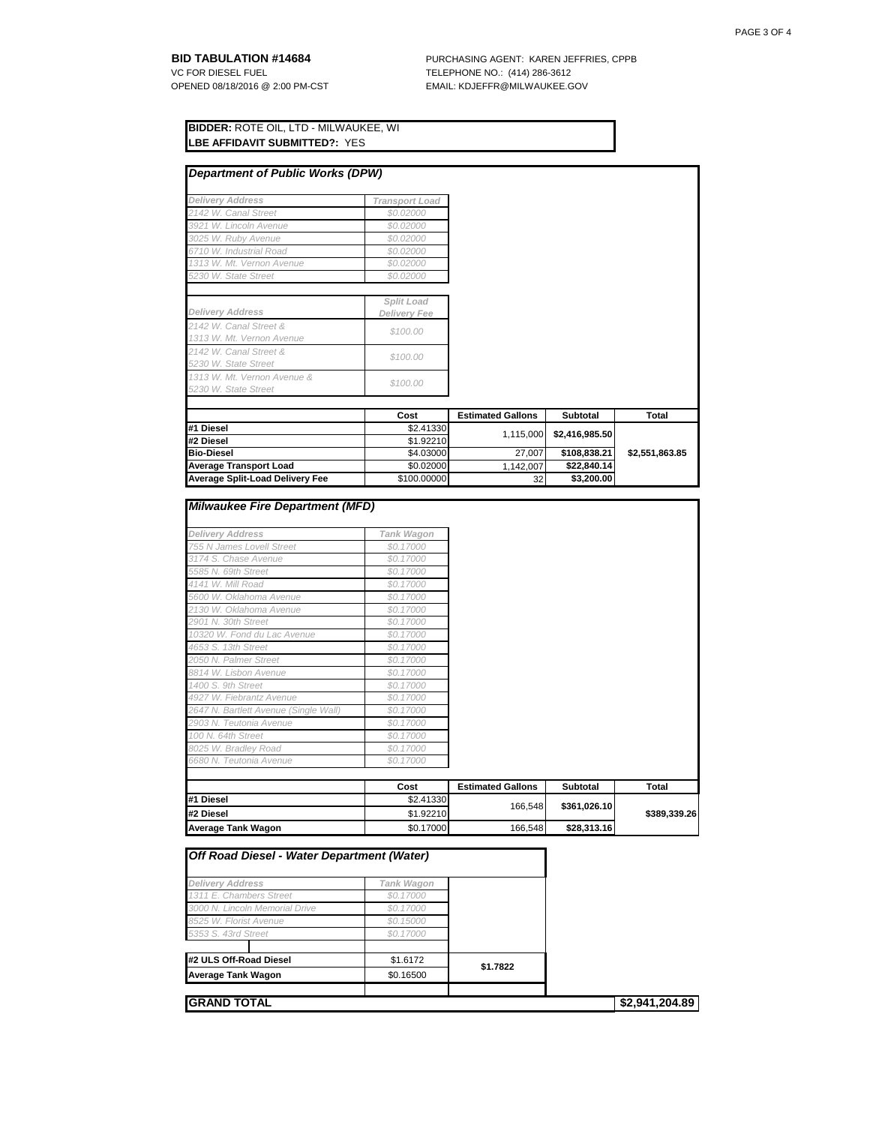**BID TABULATION #14684** PURCHASING AGENT: KAREN JEFFRIES, CPPB VC FOR DIESEL FUEL **FURLEY PURCHASING AGENT:** KAREN JEFFRIES, CPPB VC FOR DIESEL FUEL <br>OPENED 08/18/2016 @ 2:00 PM-CST FOR THE EMAIL: KDJEFFR@MILWAUKEE.G EMAIL: KDJEFFR@MILWAUKEE.GOV

| <b>BIDDER: ROTE OIL, LTD - MILWAUKEE, WI</b> |  |
|----------------------------------------------|--|
| <b>ILBE AFFIDAVIT SUBMITTED?:</b> YES        |  |

| <b>Department of Public Works (DPW)</b>             |                       |                          |                 |                |
|-----------------------------------------------------|-----------------------|--------------------------|-----------------|----------------|
|                                                     |                       |                          |                 |                |
| <b>Delivery Address</b>                             | <b>Transport Load</b> |                          |                 |                |
| 2142 W. Canal Street                                | \$0.02000             |                          |                 |                |
| 3921 W. Lincoln Avenue                              | \$0.02000             |                          |                 |                |
| 3025 W. Ruby Avenue                                 | \$0.02000             |                          |                 |                |
| 6710 W. Industrial Road                             | \$0.02000             |                          |                 |                |
| 1313 W. Mt. Vernon Avenue                           | \$0.02000             |                          |                 |                |
| 5230 W. State Street                                | \$0.02000             |                          |                 |                |
|                                                     | Split Load            |                          |                 |                |
| <b>Delivery Address</b>                             | <b>Delivery Fee</b>   |                          |                 |                |
| 2142 W. Canal Street &<br>1313 W. Mt. Vernon Avenue | \$100.00              |                          |                 |                |
| 2142 W. Canal Street &<br>5230 W. State Street      | \$100.00              |                          |                 |                |
| 1313 W. Mt. Vernon Avenue &<br>5230 W. State Street | \$100.00              |                          |                 |                |
|                                                     |                       |                          |                 |                |
|                                                     | Cost                  | <b>Estimated Gallons</b> | <b>Subtotal</b> | <b>Total</b>   |
| #1 Diesel                                           | \$2.41330             | 1,115,000                | \$2,416,985.50  |                |
| #2 Diesel                                           | \$1.92210             |                          |                 |                |
| <b>Bio-Diesel</b>                                   | \$4.03000             | 27,007                   | \$108,838.21    | \$2,551,863.85 |
| <b>Average Transport Load</b>                       | \$0.02000             | 1,142,007                | \$22,840.14     |                |
| <b>Average Split-Load Delivery Fee</b>              | \$100.00000           | 32                       | \$3,200.00      |                |

| <b>Delivery Address</b>               | Tank Wagon |                          |                 |              |
|---------------------------------------|------------|--------------------------|-----------------|--------------|
| 755 N James Lovell Street             | \$0.17000  |                          |                 |              |
| 3174 S. Chase Avenue                  | \$0.17000  |                          |                 |              |
| 5585 N. 69th Street                   | \$0.17000  |                          |                 |              |
| 4141 W. Mill Road                     | \$0.17000  |                          |                 |              |
| 5600 W. Oklahoma Avenue               | \$0.17000  |                          |                 |              |
| 2130 W. Oklahoma Avenue               | \$0.17000  |                          |                 |              |
| 2901 N. 30th Street                   | \$0.17000  |                          |                 |              |
| 10320 W. Fond du Lac Avenue           | \$0.17000  |                          |                 |              |
| 4653 S. 13th Street                   | \$0,17000  |                          |                 |              |
| 2050 N. Palmer Street                 | \$0.17000  |                          |                 |              |
| 8814 W. Lisbon Avenue                 | \$0.17000  |                          |                 |              |
| 1400 S. 9th Street                    | \$0.17000  |                          |                 |              |
| 4927 W. Fiebrantz Avenue              | \$0.17000  |                          |                 |              |
| 2647 N. Bartlett Avenue (Single Wall) | \$0.17000  |                          |                 |              |
| 2903 N. Teutonia Avenue               | \$0.17000  |                          |                 |              |
| 100 N. 64th Street                    | \$0.17000  |                          |                 |              |
| 8025 W. Bradley Road                  | \$0.17000  |                          |                 |              |
| 6680 N. Teutonia Avenue               | \$0.17000  |                          |                 |              |
|                                       | Cost       | <b>Estimated Gallons</b> | <b>Subtotal</b> | Total        |
| #1 Diesel                             | \$2.41330  |                          |                 |              |
| #2 Diesel                             | \$1.92210  | 166,548                  | \$361,026.10    | \$389,339.26 |
| <b>Average Tank Wagon</b>             | \$0.17000  | 166,548                  | \$28,313.16     |              |

| Off Road Diesel - Water Department (Water)         |                         |          |  |
|----------------------------------------------------|-------------------------|----------|--|
|                                                    |                         |          |  |
| <b>Delivery Address</b><br>1311 E. Chambers Street | Tank Wagon<br>\$0.17000 |          |  |
| 3000 N. Lincoln Memorial Drive                     | \$0.17000               |          |  |
| 8525 W. Florist Avenue                             | \$0.15000               |          |  |
| 5353 S. 43rd Street                                | \$0.17000               |          |  |
| #2 ULS Off-Road Diesel                             | \$1,6172                |          |  |
| <b>Average Tank Wagon</b>                          | \$0.16500               | \$1.7822 |  |
|                                                    |                         |          |  |
| <b>GRAND TOTAL</b>                                 | \$2,941,204.89          |          |  |